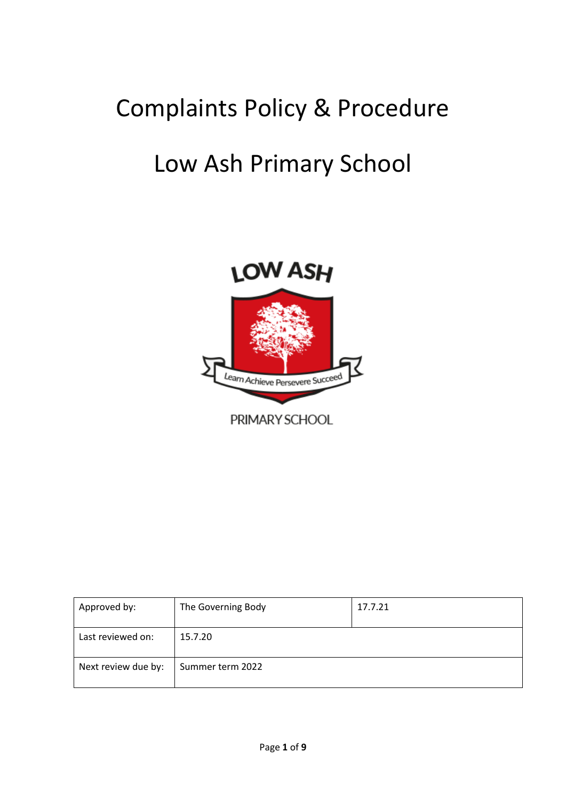## Complaints Policy & Procedure

# Low Ash Primary School



| Approved by:        | The Governing Body | 17.7.21 |
|---------------------|--------------------|---------|
| Last reviewed on:   | 15.7.20            |         |
| Next review due by: | Summer term 2022   |         |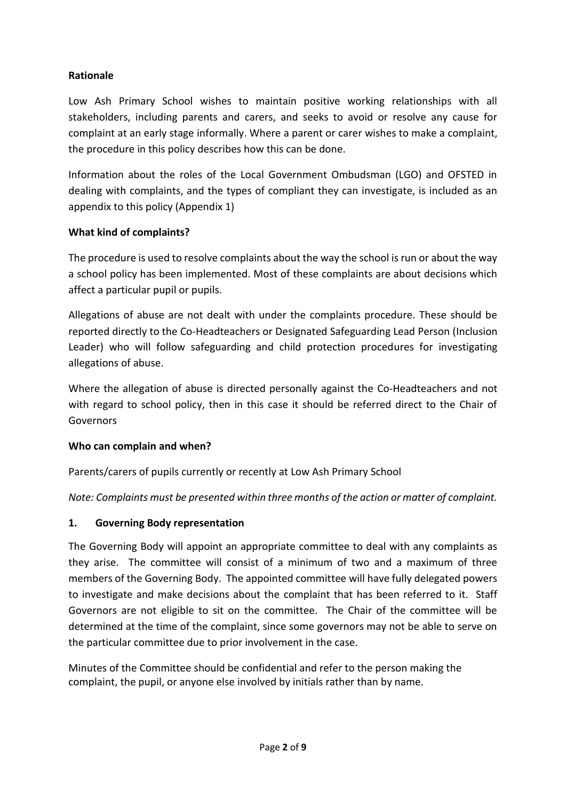### **Rationale**

Low Ash Primary School wishes to maintain positive working relationships with all stakeholders, including parents and carers, and seeks to avoid or resolve any cause for complaint at an early stage informally. Where a parent or carer wishes to make a complaint, the procedure in this policy describes how this can be done.

Information about the roles of the Local Government Ombudsman (LGO) and OFSTED in dealing with complaints, and the types of compliant they can investigate, is included as an appendix to this policy (Appendix 1)

#### **What kind of complaints?**

The procedure is used to resolve complaints about the way the school is run or about the way a school policy has been implemented. Most of these complaints are about decisions which affect a particular pupil or pupils.

Allegations of abuse are not dealt with under the complaints procedure. These should be reported directly to the Co-Headteachers or Designated Safeguarding Lead Person (Inclusion Leader) who will follow safeguarding and child protection procedures for investigating allegations of abuse.

Where the allegation of abuse is directed personally against the Co-Headteachers and not with regard to school policy, then in this case it should be referred direct to the Chair of Governors

#### **Who can complain and when?**

Parents/carers of pupils currently or recently at Low Ash Primary School

*Note: Complaints must be presented within three months of the action or matter of complaint.*

## **1. Governing Body representation**

The Governing Body will appoint an appropriate committee to deal with any complaints as they arise. The committee will consist of a minimum of two and a maximum of three members of the Governing Body. The appointed committee will have fully delegated powers to investigate and make decisions about the complaint that has been referred to it. Staff Governors are not eligible to sit on the committee. The Chair of the committee will be determined at the time of the complaint, since some governors may not be able to serve on the particular committee due to prior involvement in the case.

Minutes of the Committee should be confidential and refer to the person making the complaint, the pupil, or anyone else involved by initials rather than by name.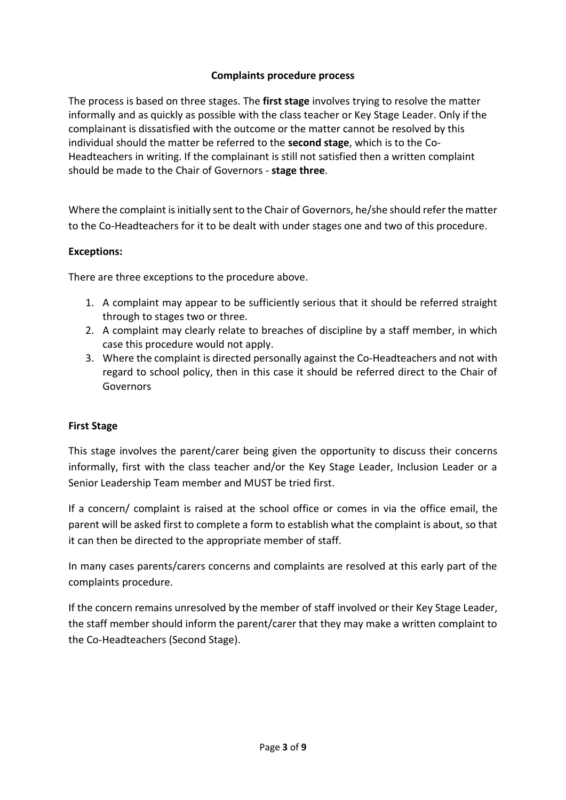### **Complaints procedure process**

The process is based on three stages. The **first stage** involves trying to resolve the matter informally and as quickly as possible with the class teacher or Key Stage Leader. Only if the complainant is dissatisfied with the outcome or the matter cannot be resolved by this individual should the matter be referred to the **second stage**, which is to the Co-Headteachers in writing. If the complainant is still not satisfied then a written complaint should be made to the Chair of Governors - **stage three**.

Where the complaint is initially sent to the Chair of Governors, he/she should refer the matter to the Co-Headteachers for it to be dealt with under stages one and two of this procedure.

#### **Exceptions:**

There are three exceptions to the procedure above.

- 1. A complaint may appear to be sufficiently serious that it should be referred straight through to stages two or three.
- 2. A complaint may clearly relate to breaches of discipline by a staff member, in which case this procedure would not apply.
- 3. Where the complaint is directed personally against the Co-Headteachers and not with regard to school policy, then in this case it should be referred direct to the Chair of **Governors**

#### **First Stage**

This stage involves the parent/carer being given the opportunity to discuss their concerns informally, first with the class teacher and/or the Key Stage Leader, Inclusion Leader or a Senior Leadership Team member and MUST be tried first.

If a concern/ complaint is raised at the school office or comes in via the office email, the parent will be asked first to complete a form to establish what the complaint is about, so that it can then be directed to the appropriate member of staff.

In many cases parents/carers concerns and complaints are resolved at this early part of the complaints procedure.

If the concern remains unresolved by the member of staff involved or their Key Stage Leader, the staff member should inform the parent/carer that they may make a written complaint to the Co-Headteachers (Second Stage).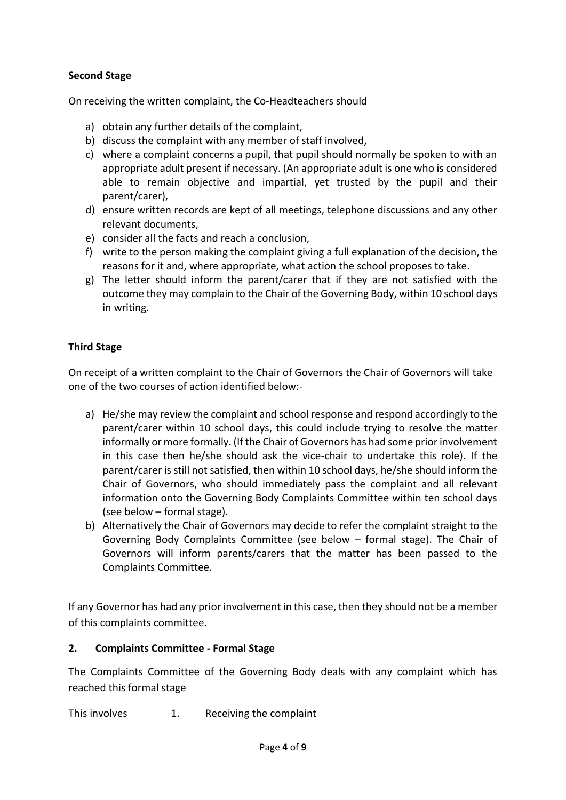### **Second Stage**

On receiving the written complaint, the Co-Headteachers should

- a) obtain any further details of the complaint,
- b) discuss the complaint with any member of staff involved,
- c) where a complaint concerns a pupil, that pupil should normally be spoken to with an appropriate adult present if necessary. (An appropriate adult is one who is considered able to remain objective and impartial, yet trusted by the pupil and their parent/carer),
- d) ensure written records are kept of all meetings, telephone discussions and any other relevant documents,
- e) consider all the facts and reach a conclusion,
- f) write to the person making the complaint giving a full explanation of the decision, the reasons for it and, where appropriate, what action the school proposes to take.
- g) The letter should inform the parent/carer that if they are not satisfied with the outcome they may complain to the Chair of the Governing Body, within 10 school days in writing.

#### **Third Stage**

On receipt of a written complaint to the Chair of Governors the Chair of Governors will take one of the two courses of action identified below:-

- a) He/she may review the complaint and school response and respond accordingly to the parent/carer within 10 school days, this could include trying to resolve the matter informally or more formally. (If the Chair of Governors has had some prior involvement in this case then he/she should ask the vice-chair to undertake this role). If the parent/carer is still not satisfied, then within 10 school days, he/she should inform the Chair of Governors, who should immediately pass the complaint and all relevant information onto the Governing Body Complaints Committee within ten school days (see below – formal stage).
- b) Alternatively the Chair of Governors may decide to refer the complaint straight to the Governing Body Complaints Committee (see below – formal stage). The Chair of Governors will inform parents/carers that the matter has been passed to the Complaints Committee.

If any Governor has had any prior involvement in this case, then they should not be a member of this complaints committee.

#### **2. Complaints Committee - Formal Stage**

The Complaints Committee of the Governing Body deals with any complaint which has reached this formal stage

This involves 1. Receiving the complaint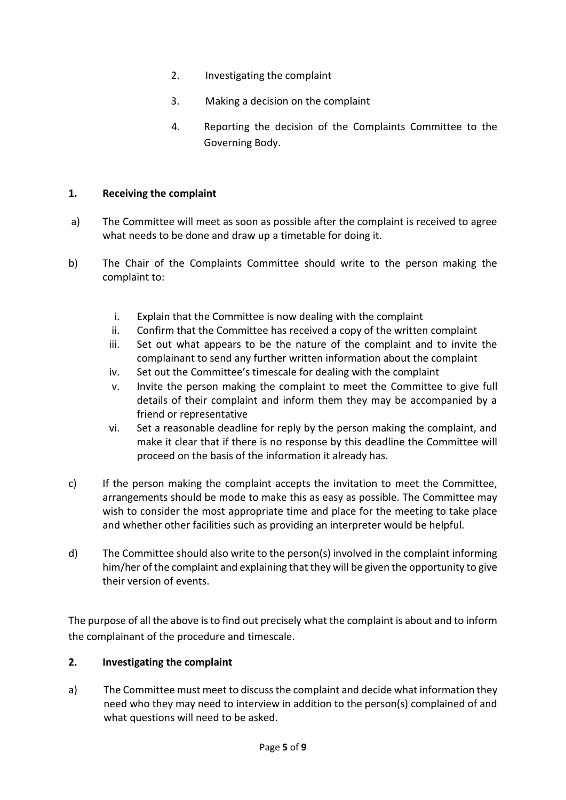- 2. Investigating the complaint
- 3. Making a decision on the complaint
- 4. Reporting the decision of the Complaints Committee to the Governing Body.

#### **1. Receiving the complaint**

- a) The Committee will meet as soon as possible after the complaint is received to agree what needs to be done and draw up a timetable for doing it.
- b) The Chair of the Complaints Committee should write to the person making the complaint to:
	- i. Explain that the Committee is now dealing with the complaint
	- ii. Confirm that the Committee has received a copy of the written complaint
	- iii. Set out what appears to be the nature of the complaint and to invite the complainant to send any further written information about the complaint
	- iv. Set out the Committee's timescale for dealing with the complaint
	- v. Invite the person making the complaint to meet the Committee to give full details of their complaint and inform them they may be accompanied by a friend or representative
	- vi. Set a reasonable deadline for reply by the person making the complaint, and make it clear that if there is no response by this deadline the Committee will proceed on the basis of the information it already has.
- c) If the person making the complaint accepts the invitation to meet the Committee, arrangements should be mode to make this as easy as possible. The Committee may wish to consider the most appropriate time and place for the meeting to take place and whether other facilities such as providing an interpreter would be helpful.
- d) The Committee should also write to the person(s) involved in the complaint informing him/her of the complaint and explaining that they will be given the opportunity to give their version of events.

The purpose of all the above is to find out precisely what the complaint is about and to inform the complainant of the procedure and timescale.

#### **2. Investigating the complaint**

a) The Committee must meet to discuss the complaint and decide what information they need who they may need to interview in addition to the person(s) complained of and what questions will need to be asked.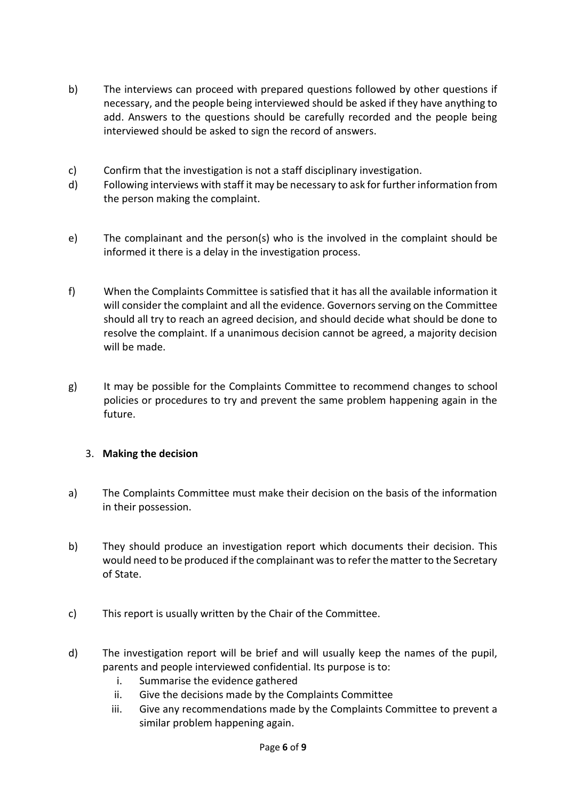- b) The interviews can proceed with prepared questions followed by other questions if necessary, and the people being interviewed should be asked if they have anything to add. Answers to the questions should be carefully recorded and the people being interviewed should be asked to sign the record of answers.
- c) Confirm that the investigation is not a staff disciplinary investigation.
- d) Following interviews with staff it may be necessary to ask for further information from the person making the complaint.
- e) The complainant and the person(s) who is the involved in the complaint should be informed it there is a delay in the investigation process.
- f) When the Complaints Committee is satisfied that it has all the available information it will consider the complaint and all the evidence. Governors serving on the Committee should all try to reach an agreed decision, and should decide what should be done to resolve the complaint. If a unanimous decision cannot be agreed, a majority decision will be made.
- g) It may be possible for the Complaints Committee to recommend changes to school policies or procedures to try and prevent the same problem happening again in the future.

#### 3. **Making the decision**

- a) The Complaints Committee must make their decision on the basis of the information in their possession.
- b) They should produce an investigation report which documents their decision. This would need to be produced if the complainant was to refer the matter to the Secretary of State.
- c) This report is usually written by the Chair of the Committee.
- d) The investigation report will be brief and will usually keep the names of the pupil, parents and people interviewed confidential. Its purpose is to:
	- i. Summarise the evidence gathered
	- ii. Give the decisions made by the Complaints Committee
	- iii. Give any recommendations made by the Complaints Committee to prevent a similar problem happening again.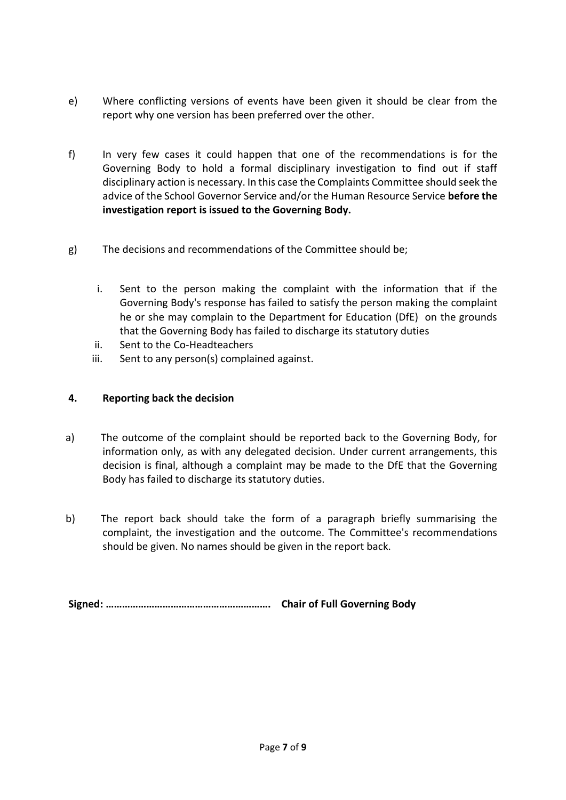- e) Where conflicting versions of events have been given it should be clear from the report why one version has been preferred over the other.
- f) In very few cases it could happen that one of the recommendations is for the Governing Body to hold a formal disciplinary investigation to find out if staff disciplinary action is necessary. In this case the Complaints Committee should seek the advice of the School Governor Service and/or the Human Resource Service **before the investigation report is issued to the Governing Body.**
- g) The decisions and recommendations of the Committee should be;
	- i. Sent to the person making the complaint with the information that if the Governing Body's response has failed to satisfy the person making the complaint he or she may complain to the Department for Education (DfE) on the grounds that the Governing Body has failed to discharge its statutory duties
	- ii. Sent to the Co-Headteachers
	- iii. Sent to any person(s) complained against.

#### **4. Reporting back the decision**

- a) The outcome of the complaint should be reported back to the Governing Body, for information only, as with any delegated decision. Under current arrangements, this decision is final, although a complaint may be made to the DfE that the Governing Body has failed to discharge its statutory duties.
- b) The report back should take the form of a paragraph briefly summarising the complaint, the investigation and the outcome. The Committee's recommendations should be given. No names should be given in the report back.

**Signed: ……………………………………………………. Chair of Full Governing Body**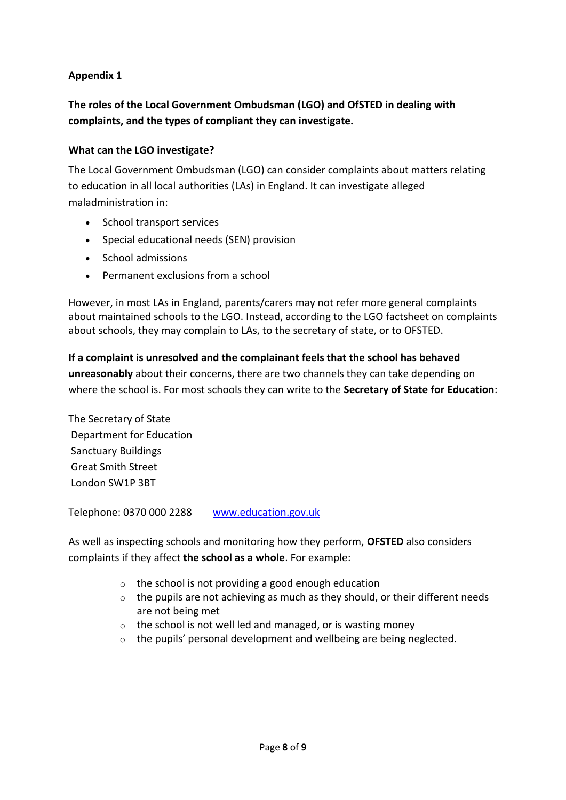### **Appendix 1**

## **The roles of the Local Government Ombudsman (LGO) and OfSTED in dealing with complaints, and the types of compliant they can investigate.**

#### **What can the LGO investigate?**

The Local Government Ombudsman (LGO) can consider complaints about matters relating to education in all local authorities (LAs) in England. It can investigate alleged maladministration in:

- School transport services
- Special educational needs (SEN) provision
- School admissions
- Permanent exclusions from a school

However, in most LAs in England, parents/carers may not refer more general complaints about maintained schools to the LGO. Instead, according to the LGO factsheet on complaints about schools, they may complain to LAs, to the secretary of state, or to OFSTED.

**If a complaint is unresolved and the complainant feels that the school has behaved unreasonably** about their concerns, there are two channels they can take depending on where the school is. For most schools they can write to the **Secretary of State for Education**:

The Secretary of State Department for Education Sanctuary Buildings Great Smith Street London SW1P 3BT

Telephone: 0370 000 2288 [www.education.gov.uk](http://www.education.gov.uk/)

As well as inspecting schools and monitoring how they perform, **OFSTED** also considers complaints if they affect **the school as a whole**. For example:

- o the school is not providing a good enough education
- $\circ$  the pupils are not achieving as much as they should, or their different needs are not being met
- $\circ$  the school is not well led and managed, or is wasting money
- o the pupils' personal development and wellbeing are being neglected.